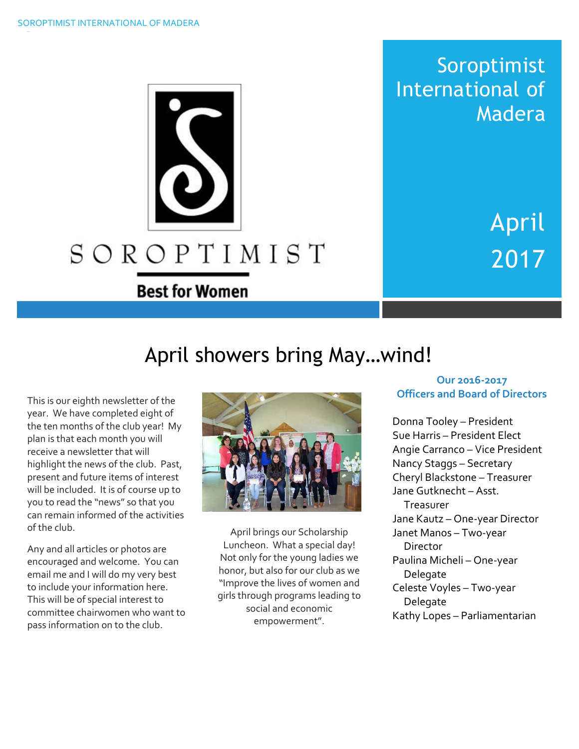

Soroptimist International of Madera

> April 2017

# April showers bring May…wind!

This is our eighth newsletter of the year. We have completed eight of the ten months of the club year! My plan is that each month you will receive a newsletter that will highlight the news of the club. Past, present and future items of interest will be included. It is of course up to you to read the "news" so that you can remain informed of the activities of the club.

Any and all articles or photos are encouraged and welcome. You can email me and I will do my very best to include your information here. This will be of special interest to committee chairwomen who want to pass information on to the club.



April brings our Scholarship Luncheon. What a special day! Not only for the young ladies we honor, but also for our club as we "Improve the lives of women and girls through programs leading to social and economic empowerment".

#### **Our 2016-2017 Officers and Board of Directors**

Donna Tooley – President Sue Harris – President Elect Angie Carranco – Vice President Nancy Staggs – Secretary Cheryl Blackstone – Treasurer Jane Gutknecht – Asst. Treasurer Jane Kautz – One-year Director Janet Manos – Two-year **Director** Paulina Micheli – One-year Delegate Celeste Voyles – Two-year Delegate Kathy Lopes – Parliamentarian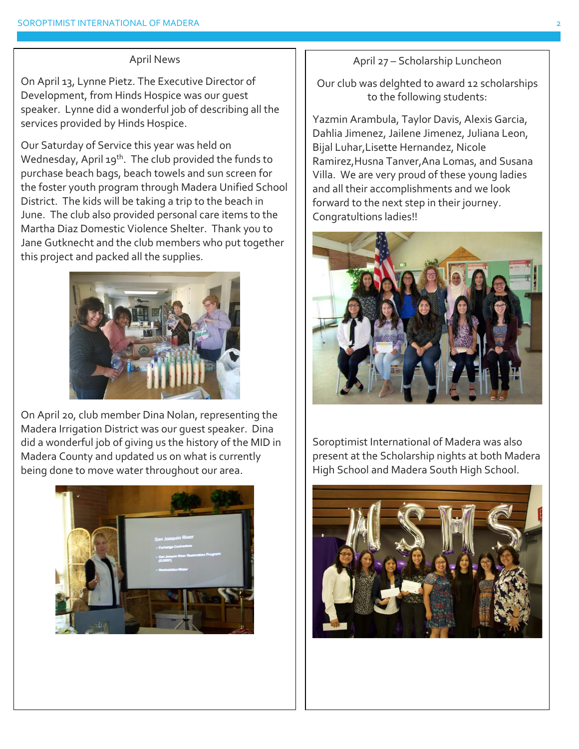#### April News

On April 13, Lynne Pietz. The Executive Director of Development, from Hinds Hospice was our guest speaker. Lynne did a wonderful job of describing all the services provided by Hinds Hospice.

Our Saturday of Service this year was held on Wednesday, April 19<sup>th</sup>. The club provided the funds to purchase beach bags, beach towels and sun screen for the foster youth program through Madera Unified School District. The kids will be taking a trip to the beach in June. The club also provided personal care items to the Martha Diaz Domestic Violence Shelter. Thank you to Jane Gutknecht and the club members who put together this project and packed all the supplies.



On April 20, club member Dina Nolan, representing the Madera Irrigation District was our guest speaker. Dina did a wonderful job of giving us the history of the MID in Madera County and updated us on what is currently being done to move water throughout our area.



April 27 – Scholarship Luncheon

Our club was delghted to award 12 scholarships to the following students:

Yazmin Arambula, Taylor Davis, Alexis Garcia, Dahlia Jimenez, Jailene Jimenez, Juliana Leon, Bijal Luhar,Lisette Hernandez, Nicole Ramirez,Husna Tanver,Ana Lomas, and Susana Villa. We are very proud of these young ladies and all their accomplishments and we look forward to the next step in their journey. Congratultions ladies!!



Soroptimist International of Madera was also present at the Scholarship nights at both Madera High School and Madera South High School.

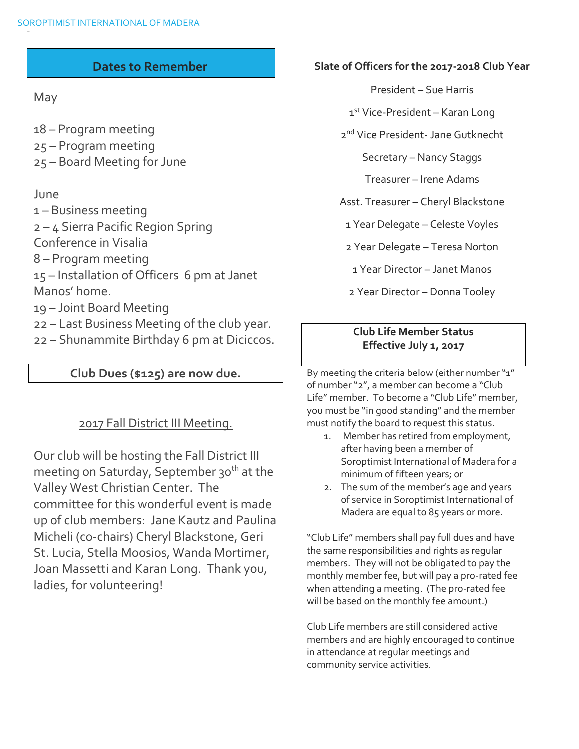# **Dates to Remember**

May

18 – Program meeting 25 – Program meeting 25 – Board Meeting for June

# June

– Business meeting – 4 Sierra Pacific Region Spring Conference in Visalia – Program meeting – Installation of Officers 6 pm at Janet Manos' home. – Joint Board Meeting – Last Business Meeting of the club year. – Shunammite Birthday 6 pm at Diciccos.

#### **Club Dues (\$125) are now due.**

# 2017 Fall District III Meeting.

Our club will be hosting the Fall District III meeting on Saturday, September 30<sup>th</sup> at the Valley West Christian Center. The committee for this wonderful event is made up of club members: Jane Kautz and Paulina Micheli (co-chairs) Cheryl Blackstone, Geri St. Lucia, Stella Moosios, Wanda Mortimer, Joan Massetti and Karan Long. Thank you, ladies, for volunteering!

#### **Slate of Officers for the 2017-2018 Club Year**

President – Sue Harris

1st Vice-President – Karan Long

2 nd Vice President- Jane Gutknecht

Secretary – Nancy Staggs

Treasurer – Irene Adams

Asst. Treasurer – Cheryl Blackstone

1 Year Delegate – Celeste Voyles

2 Year Delegate – Teresa Norton

1 Year Director – Janet Manos

2 Year Director – Donna Tooley

#### **Club Life Member Status Effective July 1, 2017**

By meeting the criteria below (either number "1" of number "2", a member can become a "Club Life" member. To become a "Club Life" member, you must be "in good standing" and the member must notify the board to request this status.

- 1. Member has retired from employment, after having been a member of Soroptimist International of Madera for a minimum of fifteen years; or
- 2. The sum of the member's age and years of service in Soroptimist International of Madera are equal to 85 years or more.

"Club Life" members shall pay full dues and have the same responsibilities and rights as regular members. They will not be obligated to pay the monthly member fee, but will pay a pro-rated fee when attending a meeting. (The pro-rated fee will be based on the monthly fee amount.)

Club Life members are still considered active members and are highly encouraged to continue in attendance at regular meetings and community service activities.